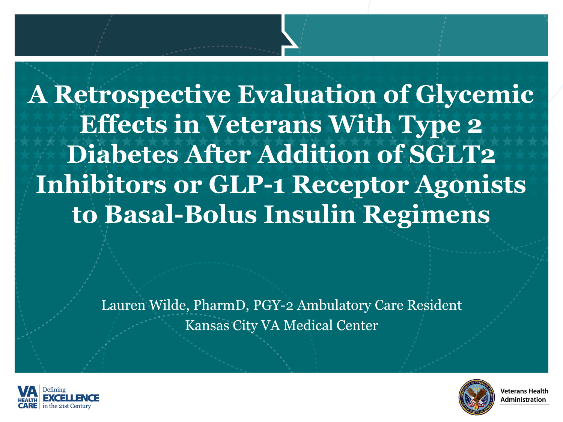**A Retrospective Evaluation of Glycemic Effects in Veterans With Type 2 Diabetes After Addition of SGLT2 Inhibitors or GLP-1 Receptor Agonists to Basal-Bolus Insulin Regimens**

> Lauren Wilde, PharmD, PGY-2 Ambulatory Care Resident Kansas City VA Medical Center



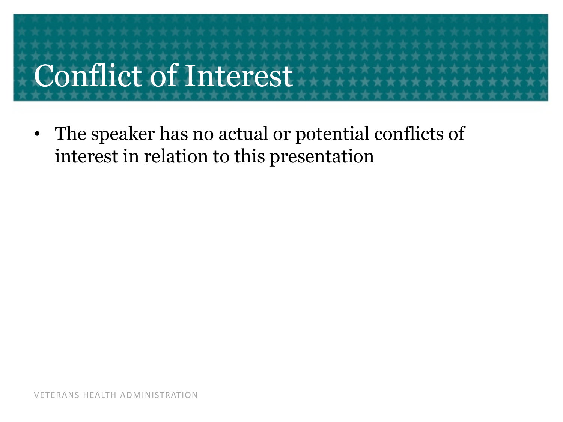# Conflict of Interest

• The speaker has no actual or potential conflicts of interest in relation to this presentation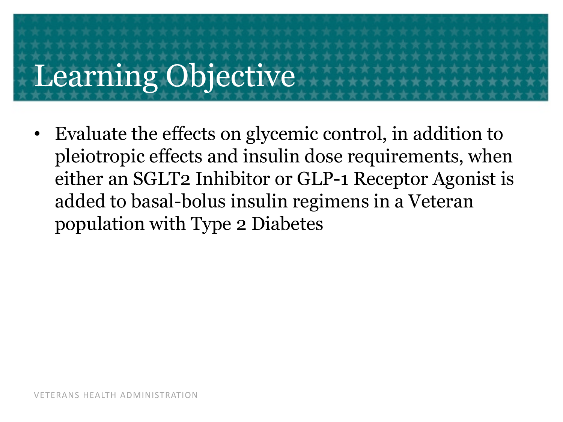# Learning Objective

• Evaluate the effects on glycemic control, in addition to pleiotropic effects and insulin dose requirements, when either an SGLT2 Inhibitor or GLP-1 Receptor Agonist is added to basal-bolus insulin regimens in a Veteran population with Type 2 Diabetes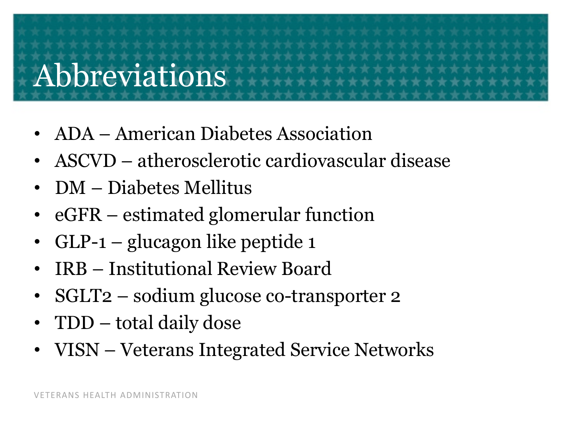### Abbreviations

- ADA American Diabetes Association
- ASCVD atherosclerotic cardiovascular disease
- DM Diabetes Mellitus
- eGFR estimated glomerular function
- GLP-1 glucagon like peptide 1
- IRB Institutional Review Board
- SGLT2 sodium glucose co-transporter 2
- TDD total daily dose
- VISN Veterans Integrated Service Networks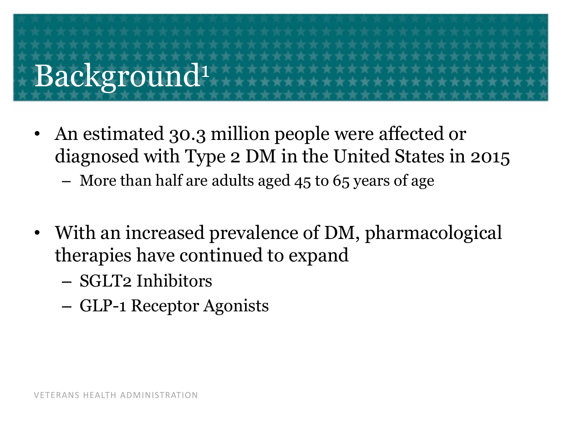# Background1

- An estimated 30.3 million people were affected or diagnosed with Type 2 DM in the United States in 2015
	- More than half are adults aged 45 to 65 years of age
- With an increased prevalence of DM, pharmacological therapies have continued to expand
	- SGLT2 Inhibitors
	- GLP-1 Receptor Agonists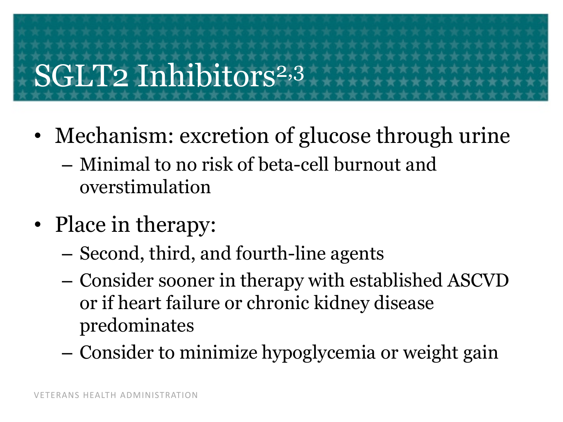## SGLT2 Inhibitors<sup>2,3</sup>

- Mechanism: excretion of glucose through urine
	- Minimal to no risk of beta-cell burnout and overstimulation
- Place in therapy:
	- Second, third, and fourth-line agents
	- Consider sooner in therapy with established ASCVD or if heart failure or chronic kidney disease predominates
	- Consider to minimize hypoglycemia or weight gain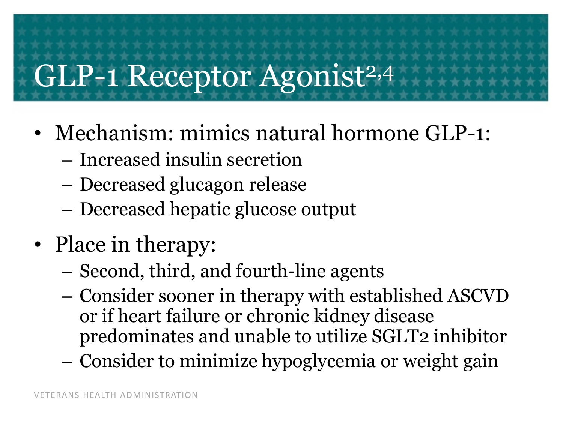### GLP-1 Receptor Agonist<sup>2,4</sup>

- Mechanism: mimics natural hormone GLP-1:
	- Increased insulin secretion
	- Decreased glucagon release
	- Decreased hepatic glucose output
- Place in therapy:
	- Second, third, and fourth-line agents
	- Consider sooner in therapy with established ASCVD or if heart failure or chronic kidney disease predominates and unable to utilize SGLT2 inhibitor
	- Consider to minimize hypoglycemia or weight gain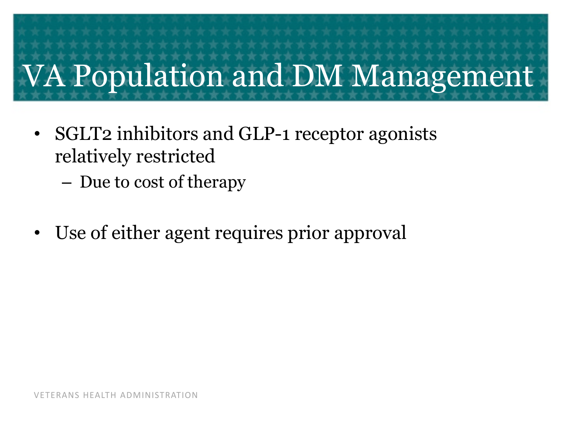# VA Population and DM Management

- SGLT2 inhibitors and GLP-1 receptor agonists relatively restricted
	- Due to cost of therapy
- Use of either agent requires prior approval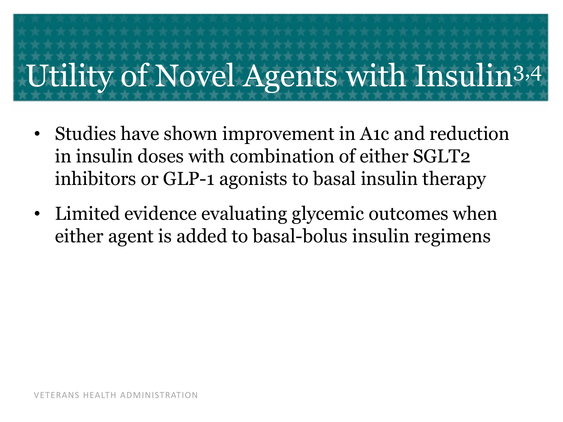## Utility of Novel Agents with Insulin3,4

- Studies have shown improvement in A1c and reduction in insulin doses with combination of either SGLT2 inhibitors or GLP-1 agonists to basal insulin therapy
- Limited evidence evaluating glycemic outcomes when either agent is added to basal-bolus insulin regimens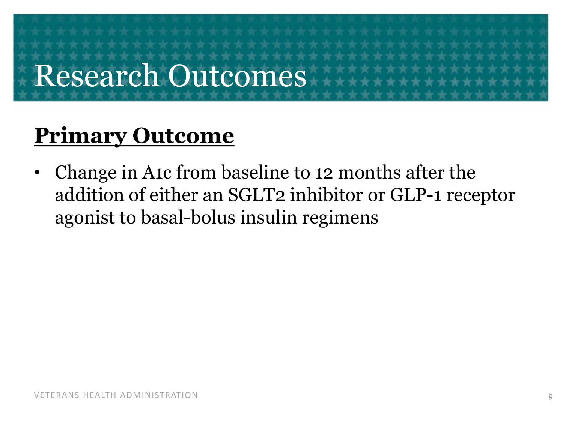### Research Outcomes

#### **Primary Outcome**

• Change in A1c from baseline to 12 months after the addition of either an SGLT2 inhibitor or GLP-1 receptor agonist to basal-bolus insulin regimens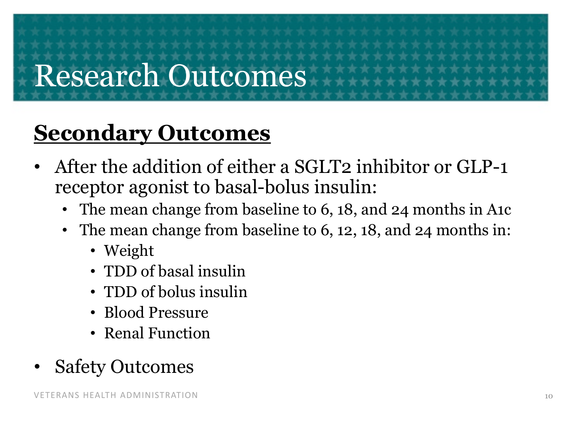## Research Outcomes

#### **Secondary Outcomes**

- After the addition of either a SGLT2 inhibitor or GLP-1 receptor agonist to basal-bolus insulin:
	- The mean change from baseline to 6, 18, and 24 months in A1c
	- The mean change from baseline to 6, 12, 18, and 24 months in:
		- Weight
		- TDD of basal insulin
		- TDD of bolus insulin
		- Blood Pressure
		- Renal Function
- **Safety Outcomes**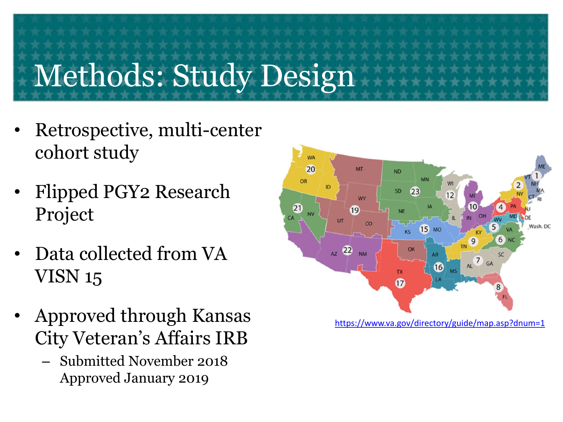# Methods: Study Design

- Retrospective, multi-center cohort study
- Flipped PGY2 Research Project
- Data collected from VA VISN 15
- Approved through Kansas City Veteran's Affairs IRB
	- Submitted November 2018 Approved January 2019

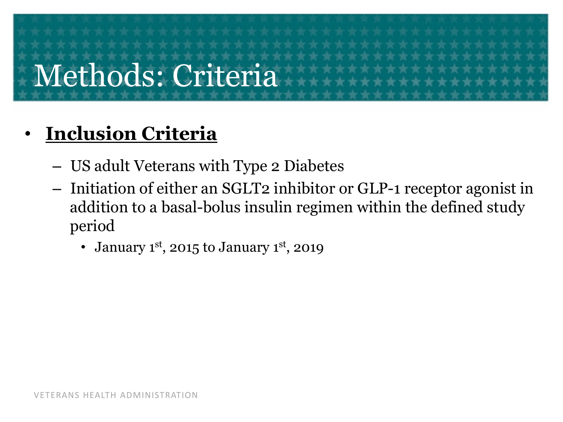## Methods: Criteria

#### • **Inclusion Criteria**

- US adult Veterans with Type 2 Diabetes
- Initiation of either an SGLT2 inhibitor or GLP-1 receptor agonist in addition to a basal-bolus insulin regimen within the defined study period
	- January 1st, 2015 to January 1st, 2019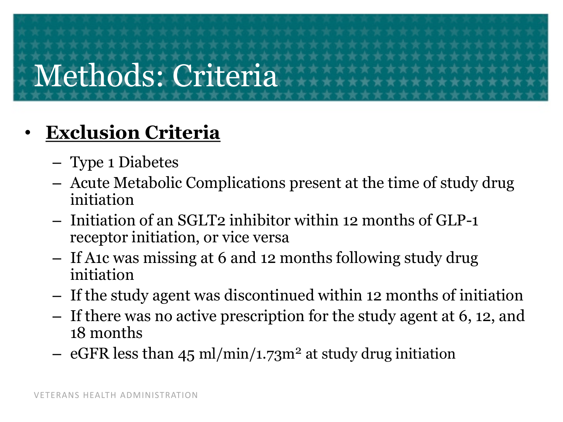## Methods: Criteria

#### • **Exclusion Criteria**

- Type 1 Diabetes
- Acute Metabolic Complications present at the time of study drug initiation
- Initiation of an SGLT2 inhibitor within 12 months of GLP-1 receptor initiation, or vice versa
- If A1c was missing at 6 and 12 months following study drug initiation
- If the study agent was discontinued within 12 months of initiation
- If there was no active prescription for the study agent at 6, 12, and 18 months
- eGFR less than 45 ml/min/1.73m<sup>2</sup> at study drug initiation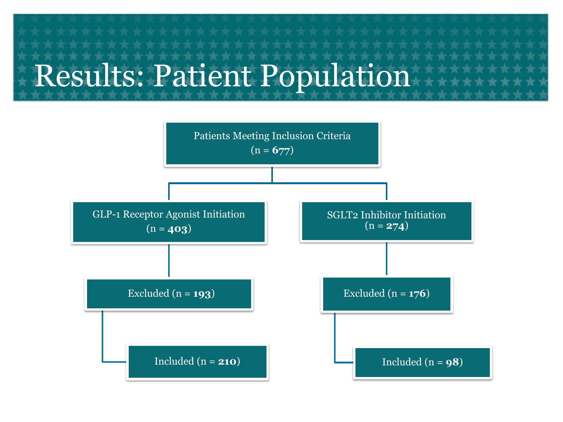## Results: Patient Population

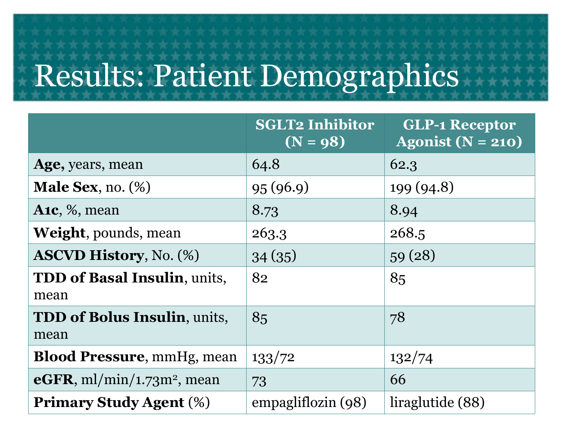### Results: Patient Demographics

|                                                    | <b>SGLT2 Inhibitor</b><br>$(N = 98)$ | <b>GLP-1 Receptor</b><br>Agonist ( $N = 210$ ) |
|----------------------------------------------------|--------------------------------------|------------------------------------------------|
| Age, years, mean                                   | 64.8                                 | 62.3                                           |
| <b>Male Sex, no.</b> $(\%)$                        | 95(96.9)                             | 199 (94.8)                                     |
| A <sub>1c</sub> , $\%$ , mean                      | 8.73                                 | 8.94                                           |
| <b>Weight</b> , pounds, mean                       | 263.3                                | 268.5                                          |
| <b>ASCVD History, No. (%)</b>                      | 34(35)                               | 59(28)                                         |
| <b>TDD of Basal Insulin, units,</b><br>mean        | 82                                   | 85                                             |
| <b>TDD of Bolus Insulin, units,</b><br>mean        | 85                                   | 78                                             |
| <b>Blood Pressure, mmHg, mean</b>                  | 133/72                               | 132/74                                         |
| $\mathbf{e}$ GFR, ml/min/1.73m <sup>2</sup> , mean | 73                                   | 66                                             |
| <b>Primary Study Agent (%)</b>                     | empagliflozin (98)                   | liraglutide (88)                               |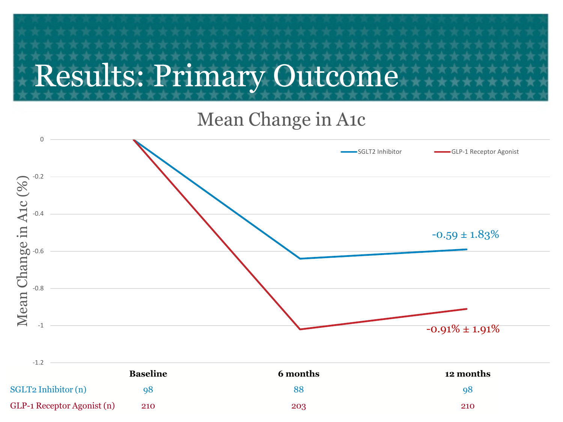## Results: Primary Outcome

#### Mean Change in A1c

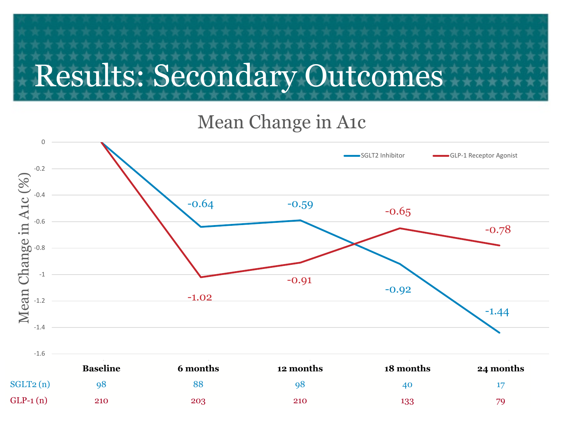#### Mean Change in A1c



|            | <b>Baseline</b> | 6 months | 12 months | 18 months | 24 months |
|------------|-----------------|----------|-----------|-----------|-----------|
| SGLT2(n)   | 98              | 88       | ႳႦ        | 40        |           |
| $GLP-1(n)$ | 210             | 203      | 210       | 133       | 79        |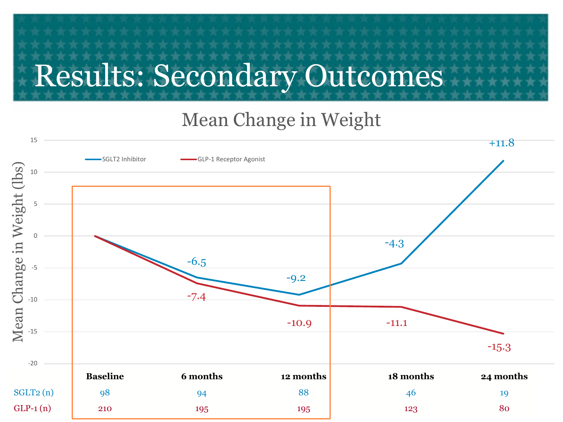#### Mean Change in Weight

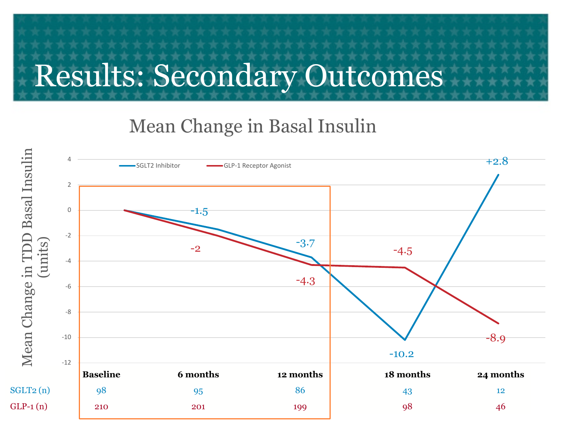#### Mean Change in Basal Insulin

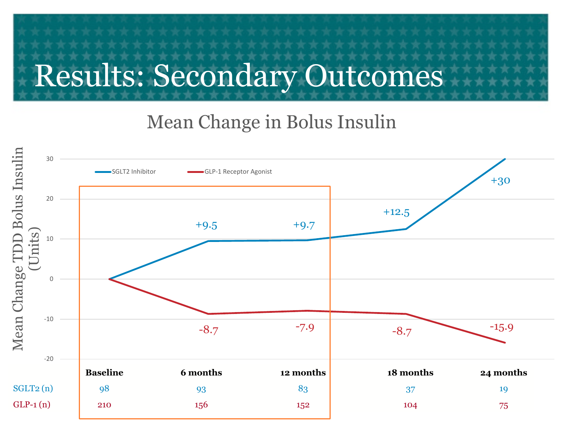#### Mean Change in Bolus Insulin

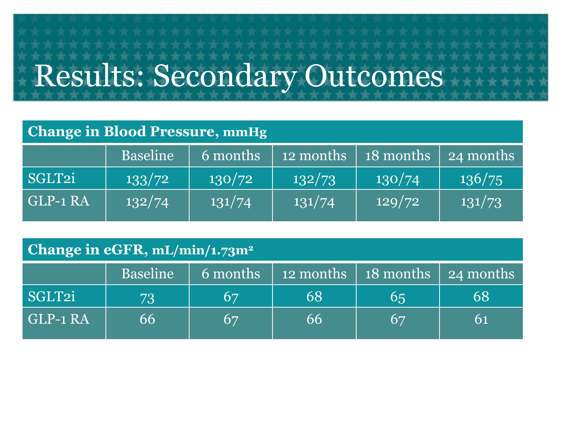#### **Change in Blood Pressure, mmHg**

|          | <b>Baseline</b> | 6 months | $\frac{1}{2}$ months | $\mid$ 18 months $\mid$ 24 months |        |
|----------|-----------------|----------|----------------------|-----------------------------------|--------|
| SGLT2i   | 133/72          | 130/72   | 132/73               | 130/74                            | 136/75 |
| GLP-1 RA | 132/74          | 131/74   | 131/74               | 129/72                            | 131/73 |

#### **Change in eGFR, mL/min/1.73m2**

|          | <b>Baseline</b> |    | $\overline{6}$ months $\overline{2}$ 12 months $\overline{2}$ 18 months $\overline{2}$ 24 months |                 |    |
|----------|-----------------|----|--------------------------------------------------------------------------------------------------|-----------------|----|
| SGLT2i   | 73              | 67 | 68                                                                                               | 65              | 68 |
| GLP-1 RA | 66              | 67 | 66                                                                                               | $6\overline{7}$ |    |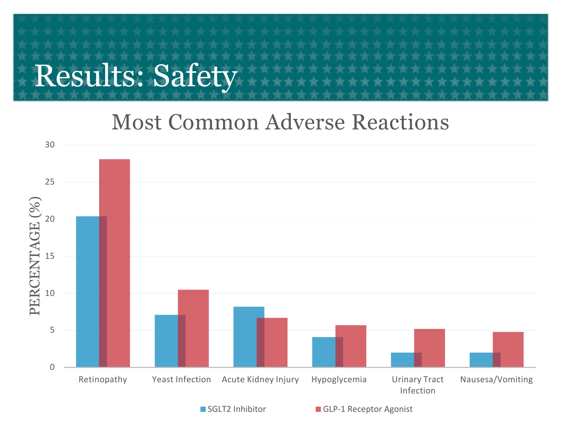#### Results: Safety

#### Most Common Adverse Reactions

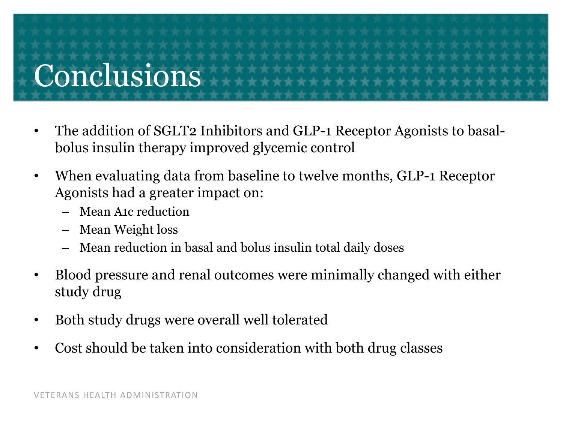# **Conclusions**

- The addition of SGLT2 Inhibitors and GLP-1 Receptor Agonists to basalbolus insulin therapy improved glycemic control
- When evaluating data from baseline to twelve months, GLP-1 Receptor Agonists had a greater impact on:
	- Mean A1c reduction
	- Mean Weight loss
	- Mean reduction in basal and bolus insulin total daily doses
- Blood pressure and renal outcomes were minimally changed with either study drug
- Both study drugs were overall well tolerated
- Cost should be taken into consideration with both drug classes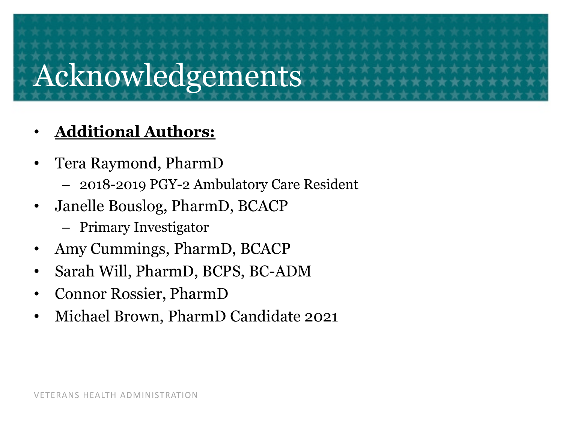#### Acknowledgements

#### • **Additional Authors:**

- Tera Raymond, PharmD
	- 2018-2019 PGY-2 Ambulatory Care Resident
- Janelle Bouslog, PharmD, BCACP
	- Primary Investigator
- Amy Cummings, PharmD, BCACP
- Sarah Will, PharmD, BCPS, BC-ADM
- Connor Rossier, PharmD
- Michael Brown, PharmD Candidate 2021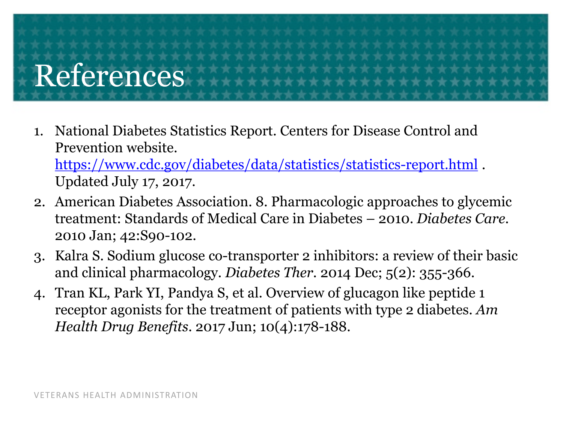# References

1. National Diabetes Statistics Report. Centers for Disease Control and Prevention website. <https://www.cdc.gov/diabetes/data/statistics/statistics-report.html>.

Updated July 17, 2017.

- 2. American Diabetes Association. 8. Pharmacologic approaches to glycemic treatment: Standards of Medical Care in Diabetes – 2010. *Diabetes Care.* 2010 Jan; 42:S90-102.
- 3. Kalra S. Sodium glucose co-transporter 2 inhibitors: a review of their basic and clinical pharmacology. *Diabetes Ther.* 2014 Dec; 5(2): 355-366.
- 4. Tran KL, Park YI, Pandya S, et al. Overview of glucagon like peptide 1 receptor agonists for the treatment of patients with type 2 diabetes. *Am Health Drug Benefits*. 2017 Jun; 10(4):178-188.